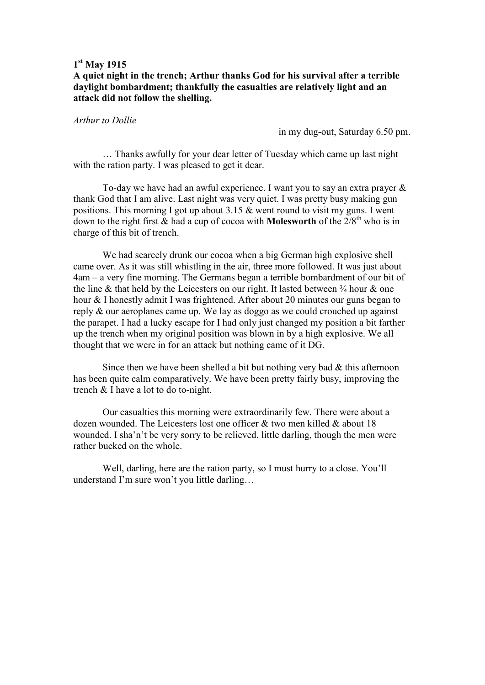## **1 st May 1915**

## **A quiet night in the trench; Arthur thanks God for his survival after a terrible daylight bombardment; thankfully the casualties are relatively light and an attack did not follow the shelling.**

### *Arthur to Dollie*

in my dug-out, Saturday 6.50 pm.

 … Thanks awfully for your dear letter of Tuesday which came up last night with the ration party. I was pleased to get it dear.

 To-day we have had an awful experience. I want you to say an extra prayer & thank God that I am alive. Last night was very quiet. I was pretty busy making gun positions. This morning I got up about 3.15 & went round to visit my guns. I went down to the right first  $\&$  had a cup of cocoa with **Molesworth** of the  $2/8^{th}$  who is in charge of this bit of trench.

We had scarcely drunk our cocoa when a big German high explosive shell came over. As it was still whistling in the air, three more followed. It was just about 4am – a very fine morning. The Germans began a terrible bombardment of our bit of the line & that held by the Leicesters on our right. It lasted between  $\frac{3}{4}$  hour & one hour & I honestly admit I was frightened. After about 20 minutes our guns began to reply & our aeroplanes came up. We lay as doggo as we could crouched up against the parapet. I had a lucky escape for I had only just changed my position a bit farther up the trench when my original position was blown in by a high explosive. We all thought that we were in for an attack but nothing came of it DG.

 Since then we have been shelled a bit but nothing very bad & this afternoon has been quite calm comparatively. We have been pretty fairly busy, improving the trench & I have a lot to do to-night.

 Our casualties this morning were extraordinarily few. There were about a dozen wounded. The Leicesters lost one officer & two men killed & about 18 wounded. I sha'n't be very sorry to be relieved, little darling, though the men were rather bucked on the whole.

 Well, darling, here are the ration party, so I must hurry to a close. You'll understand I'm sure won't you little darling…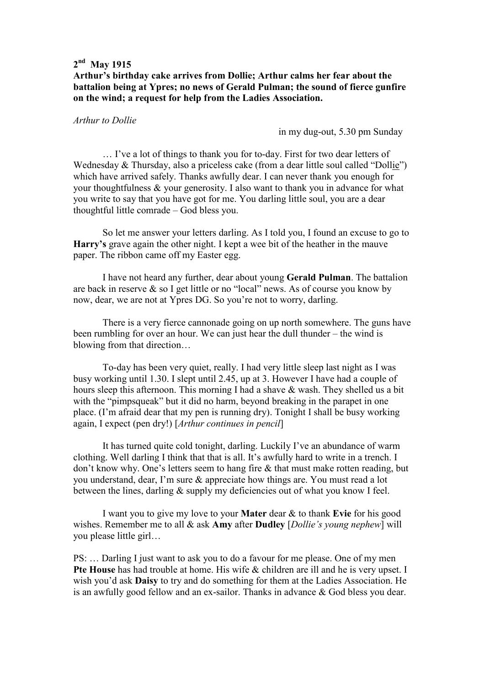## **2 nd May 1915**

## **Arthur's birthday cake arrives from Dollie; Arthur calms her fear about the battalion being at Ypres; no news of Gerald Pulman; the sound of fierce gunfire on the wind; a request for help from the Ladies Association.**

### *Arthur to Dollie*

in my dug-out, 5.30 pm Sunday

 … I've a lot of things to thank you for to-day. First for two dear letters of Wednesday & Thursday, also a priceless cake (from a dear little soul called "Dollie") which have arrived safely. Thanks awfully dear. I can never thank you enough for your thoughtfulness & your generosity. I also want to thank you in advance for what you write to say that you have got for me. You darling little soul, you are a dear thoughtful little comrade – God bless you.

 So let me answer your letters darling. As I told you, I found an excuse to go to **Harry's** grave again the other night. I kept a wee bit of the heather in the mauve paper. The ribbon came off my Easter egg.

 I have not heard any further, dear about young **Gerald Pulman**. The battalion are back in reserve & so I get little or no "local" news. As of course you know by now, dear, we are not at Ypres DG. So you're not to worry, darling.

 There is a very fierce cannonade going on up north somewhere. The guns have been rumbling for over an hour. We can just hear the dull thunder – the wind is blowing from that direction…

 To-day has been very quiet, really. I had very little sleep last night as I was busy working until 1.30. I slept until 2.45, up at 3. However I have had a couple of hours sleep this afternoon. This morning I had a shave & wash. They shelled us a bit with the "pimpsqueak" but it did no harm, beyond breaking in the parapet in one place. (I'm afraid dear that my pen is running dry). Tonight I shall be busy working again, I expect (pen dry!) [*Arthur continues in pencil*]

It has turned quite cold tonight, darling. Luckily I've an abundance of warm clothing. Well darling I think that that is all. It's awfully hard to write in a trench. I don't know why. One's letters seem to hang fire & that must make rotten reading, but you understand, dear, I'm sure & appreciate how things are. You must read a lot between the lines, darling & supply my deficiencies out of what you know I feel.

 I want you to give my love to your **Mater** dear & to thank **Evie** for his good wishes. Remember me to all & ask **Amy** after **Dudley** [*Dollie's young nephew*] will you please little girl…

PS: … Darling I just want to ask you to do a favour for me please. One of my men **Pte House** has had trouble at home. His wife & children are ill and he is very upset. I wish you'd ask **Daisy** to try and do something for them at the Ladies Association. He is an awfully good fellow and an ex-sailor. Thanks in advance & God bless you dear.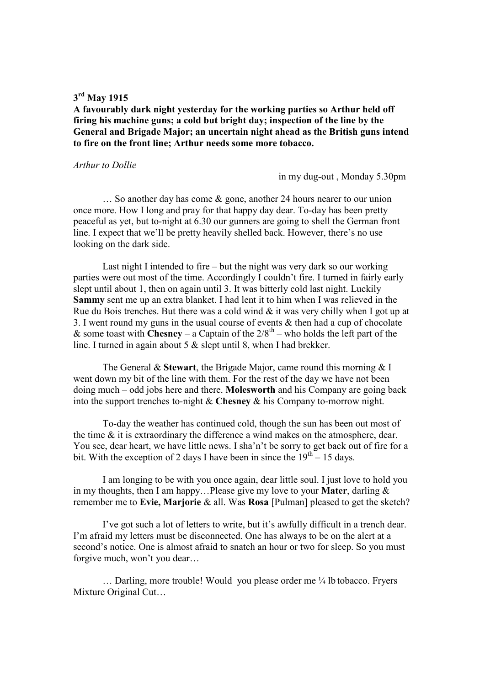**3 rd May 1915** 

**A favourably dark night yesterday for the working parties so Arthur held off firing his machine guns; a cold but bright day; inspection of the line by the General and Brigade Major; an uncertain night ahead as the British guns intend to fire on the front line; Arthur needs some more tobacco.** 

*Arthur to Dollie* 

in my dug-out , Monday 5.30pm

 … So another day has come & gone, another 24 hours nearer to our union once more. How I long and pray for that happy day dear. To-day has been pretty peaceful as yet, but to-night at 6.30 our gunners are going to shell the German front line. I expect that we'll be pretty heavily shelled back. However, there's no use looking on the dark side.

 Last night I intended to fire – but the night was very dark so our working parties were out most of the time. Accordingly I couldn't fire. I turned in fairly early slept until about 1, then on again until 3. It was bitterly cold last night. Luckily **Sammy** sent me up an extra blanket. I had lent it to him when I was relieved in the Rue du Bois trenches. But there was a cold wind & it was very chilly when I got up at 3. I went round my guns in the usual course of events & then had a cup of chocolate & some toast with **Chesney** – a Captain of the  $2/8^{th}$  – who holds the left part of the line. I turned in again about 5 & slept until 8, when I had brekker.

 The General & **Stewart**, the Brigade Major, came round this morning & I went down my bit of the line with them. For the rest of the day we have not been doing much – odd jobs here and there. **Molesworth** and his Company are going back into the support trenches to-night & **Chesney** & his Company to-morrow night.

 To-day the weather has continued cold, though the sun has been out most of the time & it is extraordinary the difference a wind makes on the atmosphere, dear. You see, dear heart, we have little news. I sha'n't be sorry to get back out of fire for a bit. With the exception of 2 days I have been in since the  $19<sup>th</sup> - 15$  days.

 I am longing to be with you once again, dear little soul. I just love to hold you in my thoughts, then I am happy…Please give my love to your **Mater**, darling & remember me to **Evie, Marjorie** & all. Was **Rosa** [Pulman] pleased to get the sketch?

 I've got such a lot of letters to write, but it's awfully difficult in a trench dear. I'm afraid my letters must be disconnected. One has always to be on the alert at a second's notice. One is almost afraid to snatch an hour or two for sleep. So you must forgive much, won't you dear…

… Darling, more trouble! Would you please order me ¼ lb tobacco. Fryers Mixture Original Cut…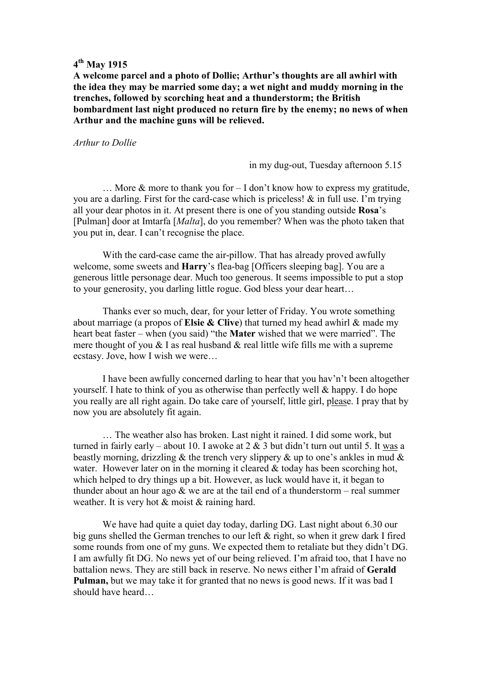**A welcome parcel and a photo of Dollie; Arthur's thoughts are all awhirl with the idea they may be married some day; a wet night and muddy morning in the trenches, followed by scorching heat and a thunderstorm; the British bombardment last night produced no return fire by the enemy; no news of when Arthur and the machine guns will be relieved.** 

### *Arthur to Dollie*

in my dug-out, Tuesday afternoon 5.15

 $\dots$  More & more to thank you for  $-I$  don't know how to express my gratitude, you are a darling. First for the card-case which is priceless! & in full use. I'm trying all your dear photos in it. At present there is one of you standing outside **Rosa**'s [Pulman] door at Imtarfa [*Malta*], do you remember? When was the photo taken that you put in, dear. I can't recognise the place.

 With the card-case came the air-pillow. That has already proved awfully welcome, some sweets and **Harry**'s flea-bag [Officers sleeping bag]. You are a generous little personage dear. Much too generous. It seems impossible to put a stop to your generosity, you darling little rogue. God bless your dear heart…

 Thanks ever so much, dear, for your letter of Friday. You wrote something about marriage (a propos of **Elsie & Clive**) that turned my head awhirl & made my heart beat faster – when (you said) "the **Mater** wished that we were married". The mere thought of you  $&$  I as real husband  $&$  real little wife fills me with a supreme ecstasy. Jove, how I wish we were…

 I have been awfully concerned darling to hear that you hav'n't been altogether yourself. I hate to think of you as otherwise than perfectly well & happy. I do hope you really are all right again. Do take care of yourself, little girl, please. I pray that by now you are absolutely fit again.

 … The weather also has broken. Last night it rained. I did some work, but turned in fairly early – about 10. I awoke at  $2 \& 3$  but didn't turn out until 5. It was a beastly morning, drizzling  $\&$  the trench very slippery  $\&$  up to one's ankles in mud  $\&$ water. However later on in the morning it cleared & today has been scorching hot, which helped to dry things up a bit. However, as luck would have it, it began to thunder about an hour ago  $\&$  we are at the tail end of a thunderstorm – real summer weather. It is very hot & moist & raining hard.

 We have had quite a quiet day today, darling DG. Last night about 6.30 our big guns shelled the German trenches to our left & right, so when it grew dark I fired some rounds from one of my guns. We expected them to retaliate but they didn't DG. I am awfully fit DG. No news yet of our being relieved. I'm afraid too, that I have no battalion news. They are still back in reserve. No news either I'm afraid of **Gerald Pulman,** but we may take it for granted that no news is good news. If it was bad I should have heard…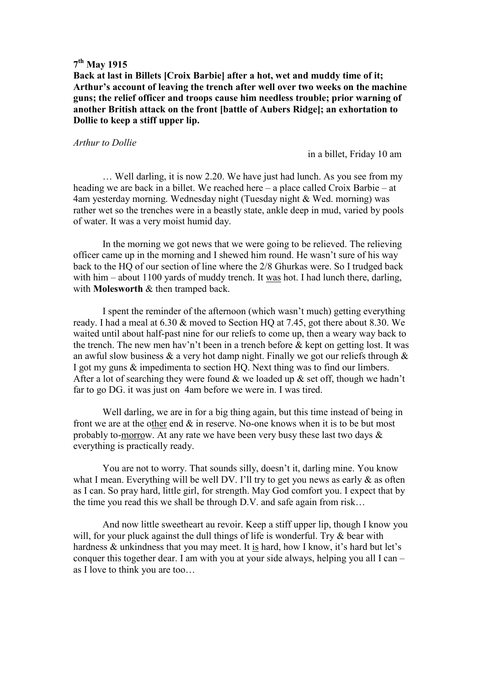**Back at last in Billets [Croix Barbie] after a hot, wet and muddy time of it; Arthur's account of leaving the trench after well over two weeks on the machine guns; the relief officer and troops cause him needless trouble; prior warning of another British attack on the front [battle of Aubers Ridge]; an exhortation to Dollie to keep a stiff upper lip.** 

### *Arthur to Dollie*

in a billet, Friday 10 am

 … Well darling, it is now 2.20. We have just had lunch. As you see from my heading we are back in a billet. We reached here – a place called Croix Barbie – at 4am yesterday morning. Wednesday night (Tuesday night & Wed. morning) was rather wet so the trenches were in a beastly state, ankle deep in mud, varied by pools of water. It was a very moist humid day.

 In the morning we got news that we were going to be relieved. The relieving officer came up in the morning and I shewed him round. He wasn't sure of his way back to the HQ of our section of line where the 2/8 Ghurkas were. So I trudged back with him – about 1100 yards of muddy trench. It was hot. I had lunch there, darling, with **Molesworth** & then tramped back.

 I spent the reminder of the afternoon (which wasn't much) getting everything ready. I had a meal at 6.30 & moved to Section HQ at 7.45, got there about 8.30. We waited until about half-past nine for our reliefs to come up, then a weary way back to the trench. The new men hav'n't been in a trench before & kept on getting lost. It was an awful slow business  $\&$  a very hot damp night. Finally we got our reliefs through  $\&$ I got my guns & impedimenta to section HQ. Next thing was to find our limbers. After a lot of searching they were found  $\&$  we loaded up  $\&$  set off, though we hadn't far to go DG. it was just on 4am before we were in. I was tired.

 Well darling, we are in for a big thing again, but this time instead of being in front we are at the other end & in reserve. No-one knows when it is to be but most probably to-morrow. At any rate we have been very busy these last two days  $\&$ everything is practically ready.

 You are not to worry. That sounds silly, doesn't it, darling mine. You know what I mean. Everything will be well DV. I'll try to get you news as early & as often as I can. So pray hard, little girl, for strength. May God comfort you. I expect that by the time you read this we shall be through D.V. and safe again from risk…

 And now little sweetheart au revoir. Keep a stiff upper lip, though I know you will, for your pluck against the dull things of life is wonderful. Try & bear with hardness & unkindness that you may meet. It is hard, how I know, it's hard but let's conquer this together dear. I am with you at your side always, helping you all I can – as I love to think you are too…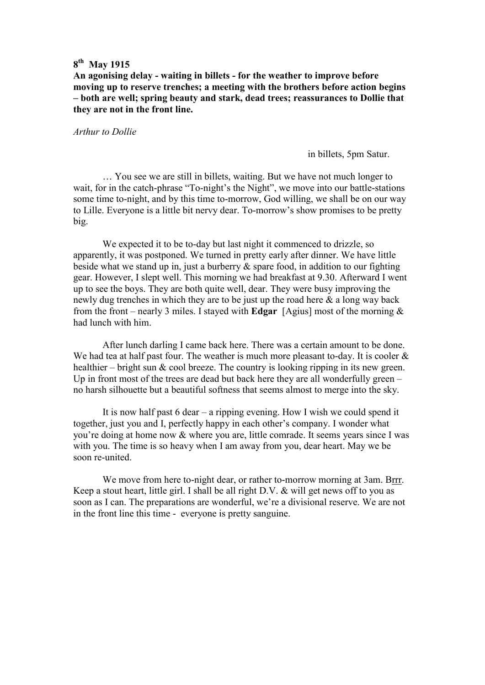**An agonising delay - waiting in billets - for the weather to improve before moving up to reserve trenches; a meeting with the brothers before action begins – both are well; spring beauty and stark, dead trees; reassurances to Dollie that they are not in the front line.** 

### *Arthur to Dollie*

in billets, 5pm Satur.

 … You see we are still in billets, waiting. But we have not much longer to wait, for in the catch-phrase "To-night's the Night", we move into our battle-stations some time to-night, and by this time to-morrow, God willing, we shall be on our way to Lille. Everyone is a little bit nervy dear. To-morrow's show promises to be pretty big.

 We expected it to be to-day but last night it commenced to drizzle, so apparently, it was postponed. We turned in pretty early after dinner. We have little beside what we stand up in, just a burberry & spare food, in addition to our fighting gear. However, I slept well. This morning we had breakfast at 9.30. Afterward I went up to see the boys. They are both quite well, dear. They were busy improving the newly dug trenches in which they are to be just up the road here & a long way back from the front – nearly 3 miles. I stayed with **Edgar** [Agius] most of the morning & had lunch with him.

 After lunch darling I came back here. There was a certain amount to be done. We had tea at half past four. The weather is much more pleasant to-day. It is cooler & healthier – bright sun  $\&$  cool breeze. The country is looking ripping in its new green. Up in front most of the trees are dead but back here they are all wonderfully green – no harsh silhouette but a beautiful softness that seems almost to merge into the sky.

 It is now half past 6 dear – a ripping evening. How I wish we could spend it together, just you and I, perfectly happy in each other's company. I wonder what you're doing at home now & where you are, little comrade. It seems years since I was with you. The time is so heavy when I am away from you, dear heart. May we be soon re-united.

 We move from here to-night dear, or rather to-morrow morning at 3am. Brrr. Keep a stout heart, little girl. I shall be all right D.V. & will get news off to you as soon as I can. The preparations are wonderful, we're a divisional reserve. We are not in the front line this time - everyone is pretty sanguine.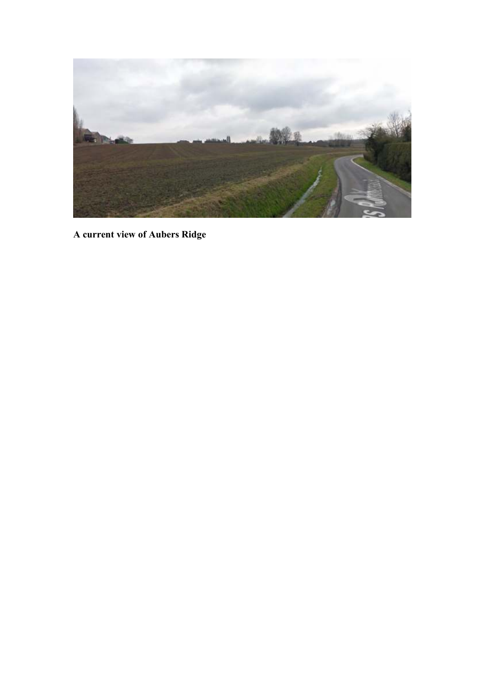

**A current view of Aubers Ridge**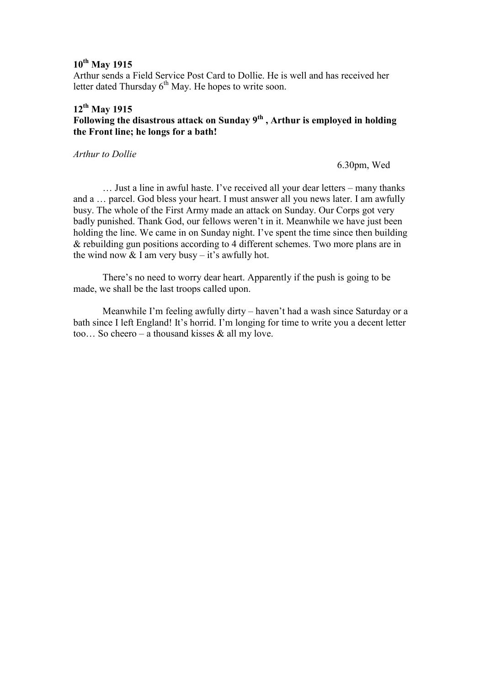Arthur sends a Field Service Post Card to Dollie. He is well and has received her letter dated Thursday  $6<sup>th</sup>$  May. He hopes to write soon.

## **12th May 1915 Following the disastrous attack on Sunday 9th , Arthur is employed in holding the Front line; he longs for a bath!**

*Arthur to Dollie* 

6.30pm, Wed

 … Just a line in awful haste. I've received all your dear letters – many thanks and a … parcel. God bless your heart. I must answer all you news later. I am awfully busy. The whole of the First Army made an attack on Sunday. Our Corps got very badly punished. Thank God, our fellows weren't in it. Meanwhile we have just been holding the line. We came in on Sunday night. I've spent the time since then building & rebuilding gun positions according to 4 different schemes. Two more plans are in the wind now  $&$  I am very busy – it's awfully hot.

 There's no need to worry dear heart. Apparently if the push is going to be made, we shall be the last troops called upon.

 Meanwhile I'm feeling awfully dirty – haven't had a wash since Saturday or a bath since I left England! It's horrid. I'm longing for time to write you a decent letter too… So cheero – a thousand kisses & all my love.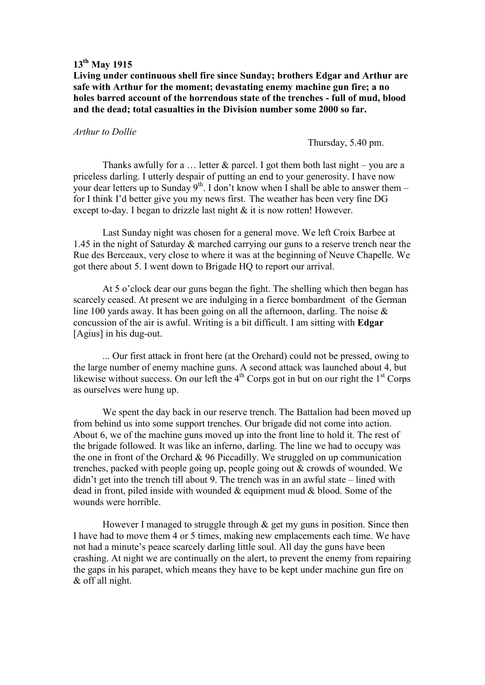**Living under continuous shell fire since Sunday; brothers Edgar and Arthur are safe with Arthur for the moment; devastating enemy machine gun fire; a no holes barred account of the horrendous state of the trenches - full of mud, blood and the dead; total casualties in the Division number some 2000 so far.** 

### *Arthur to Dollie*

Thursday, 5.40 pm.

Thanks awfully for a ... letter  $\&$  parcel. I got them both last night – you are a priceless darling. I utterly despair of putting an end to your generosity. I have now your dear letters up to Sunday 9<sup>th</sup>. I don't know when I shall be able to answer them – for I think I'd better give you my news first. The weather has been very fine DG except to-day. I began to drizzle last night & it is now rotten! However.

 Last Sunday night was chosen for a general move. We left Croix Barbee at 1.45 in the night of Saturday & marched carrying our guns to a reserve trench near the Rue des Berceaux, very close to where it was at the beginning of Neuve Chapelle. We got there about 5. I went down to Brigade HQ to report our arrival.

 At 5 o'clock dear our guns began the fight. The shelling which then began has scarcely ceased. At present we are indulging in a fierce bombardment of the German line 100 yards away. It has been going on all the afternoon, darling. The noise  $\&$ concussion of the air is awful. Writing is a bit difficult. I am sitting with **Edgar** [Agius] in his dug-out.

 ... Our first attack in front here (at the Orchard) could not be pressed, owing to the large number of enemy machine guns. A second attack was launched about 4, but likewise without success. On our left the  $4<sup>th</sup>$  Corps got in but on our right the  $1<sup>st</sup>$  Corps as ourselves were hung up.

 We spent the day back in our reserve trench. The Battalion had been moved up from behind us into some support trenches. Our brigade did not come into action. About 6, we of the machine guns moved up into the front line to hold it. The rest of the brigade followed. It was like an inferno, darling. The line we had to occupy was the one in front of the Orchard  $& 96$  Piccadilly. We struggled on up communication trenches, packed with people going up, people going out & crowds of wounded. We didn't get into the trench till about 9. The trench was in an awful state – lined with dead in front, piled inside with wounded & equipment mud & blood. Some of the wounds were horrible.

However I managed to struggle through & get my guns in position. Since then I have had to move them 4 or 5 times, making new emplacements each time. We have not had a minute's peace scarcely darling little soul. All day the guns have been crashing. At night we are continually on the alert, to prevent the enemy from repairing the gaps in his parapet, which means they have to be kept under machine gun fire on & off all night.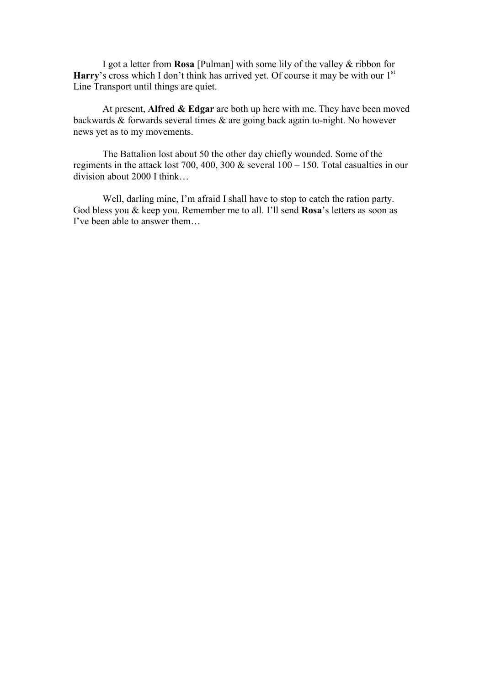I got a letter from **Rosa** [Pulman] with some lily of the valley & ribbon for **Harry**'s cross which I don't think has arrived yet. Of course it may be with our 1<sup>st</sup> Line Transport until things are quiet.

 At present, **Alfred & Edgar** are both up here with me. They have been moved backwards & forwards several times  $\&$  are going back again to-night. No however news yet as to my movements.

 The Battalion lost about 50 the other day chiefly wounded. Some of the regiments in the attack lost 700, 400, 300  $\&$  several 100 – 150. Total casualties in our division about 2000 I think…

 Well, darling mine, I'm afraid I shall have to stop to catch the ration party. God bless you & keep you. Remember me to all. I'll send **Rosa**'s letters as soon as I've been able to answer them…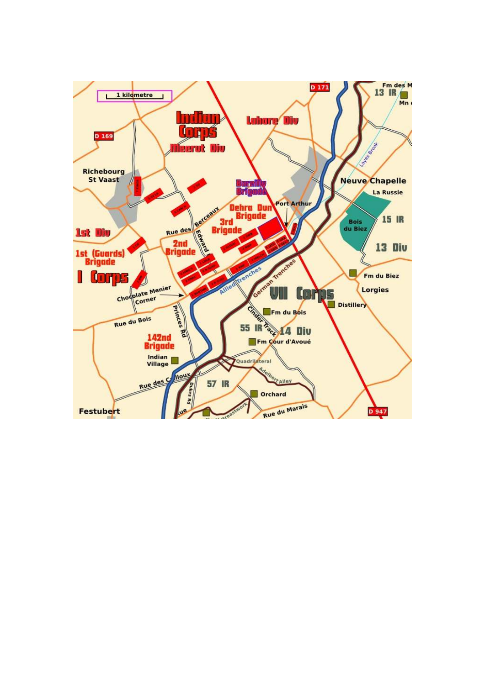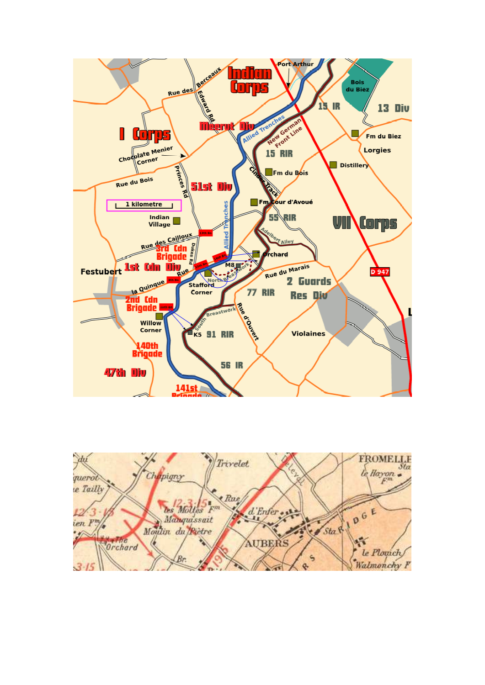

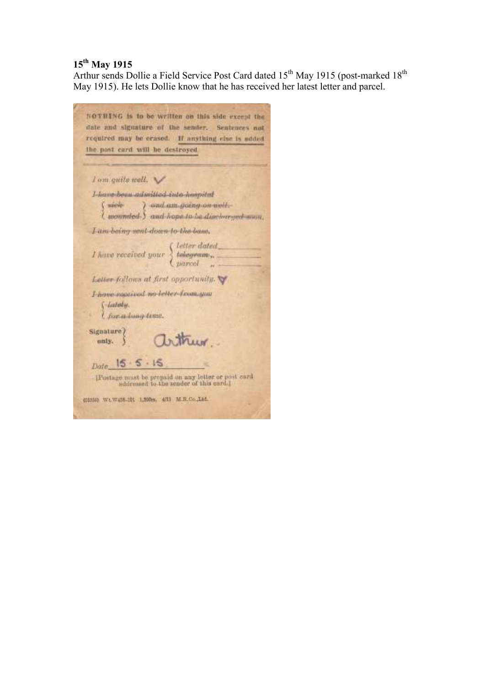Arthur sends Dollie a Field Service Post Card dated  $15^{th}$  May 1915 (post-marked  $18^{th}$ May 1915). He lets Dollie know that he has received her latest letter and parcel.

NOTHING is to be written on this side except the date and signature of the sender. Sentences not required may be erased. If anything class is added. the post card will be destroyed Lom quite well. I-have been admitted into hompital  $\sqrt{$  siele  $\sqrt{ }$  and am going on well. ( wounded.) and hope to be discharged wou. I am being went down to the base,  $I\, \hbox{\emph{have received your }\label{thm:intermediate} \left\{\begin{array}{l} letter\, data\, \\ the system\, \\ power\, \end{array}\right. \quad .$ Letter follows at first opportunity. **Fhowe manival no letter from you** Clatoly. *Livra long time.* Signature? arthur. Date 15 5 - 15 [Fustage must be propaid on any letter or post card<br>addressed to the sender of this card.] 215500 WLW258-101 1,900m, 4/15 M.R.Co.,Ltd.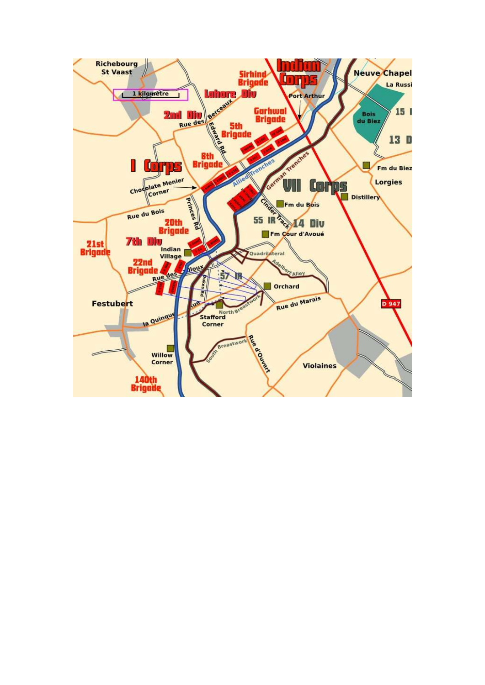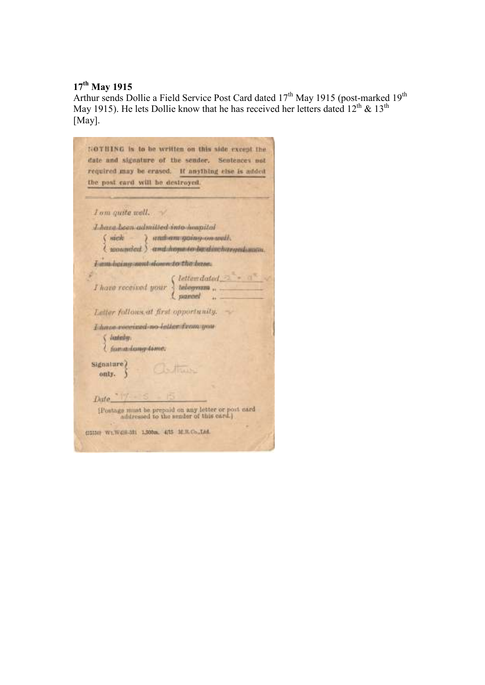Arthur sends Dollie a Field Service Post Card dated 17<sup>th</sup> May 1915 (post-marked 19<sup>th</sup> May 1915). He lets Dollie know that he has received her letters dated  $12^{th} \& 13^{th}$ [May].

NOTHING is to be written on this side except the date and signature of the sender. Sentences not required may be crased. If anything else is added the post card will be destroyed. Lom quite well. Lhave been admitted into hospital (nick ) antherwaping-on-wall. (wounded) and home to be discharged some Lambaing-nont-down-to-tha-base.  $I \; have \; received \; your \; \left\{ \begin{array}{l} letters \; datad\_2 \\ t \; a \; terms \; a \; \; \ldots \\ parameter \; \; \; \ldots \; \; \ldots \; \end{array} \right.$ Letter follows at first opportunity. Edwan voceined no Intian from you  $\langle$  lately. L fama-lamp tome. Signature) alettran only. Date\_  $\{Postago\ must\ be\ prepaid\ on\ any\ letter\ or\ pool\ card\ and\nrelaxiesed\ to\ the\ sender\ of\ this\ card.\}$ CI3150 W1.WCS-521 L300m. 4/15 M.H.Co.,Ltd.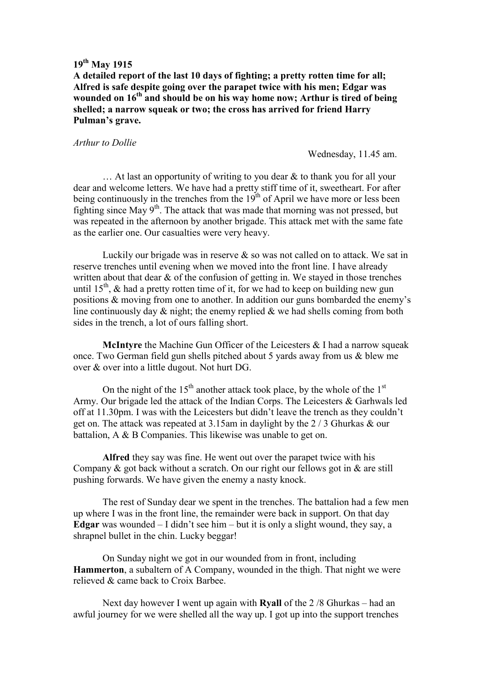**A detailed report of the last 10 days of fighting; a pretty rotten time for all; Alfred is safe despite going over the parapet twice with his men; Edgar was wounded on 16th and should be on his way home now; Arthur is tired of being shelled; a narrow squeak or two; the cross has arrived for friend Harry Pulman's grave.**

### *Arthur to Dollie*

Wednesday, 11.45 am.

 … At last an opportunity of writing to you dear & to thank you for all your dear and welcome letters. We have had a pretty stiff time of it, sweetheart. For after being continuously in the trenches from the  $19<sup>th</sup>$  of April we have more or less been fighting since May  $9<sup>th</sup>$ . The attack that was made that morning was not pressed, but was repeated in the afternoon by another brigade. This attack met with the same fate as the earlier one. Our casualties were very heavy.

 Luckily our brigade was in reserve & so was not called on to attack. We sat in reserve trenches until evening when we moved into the front line. I have already written about that dear  $\&$  of the confusion of getting in. We stayed in those trenches until  $15<sup>th</sup>$ , & had a pretty rotten time of it, for we had to keep on building new gun positions & moving from one to another. In addition our guns bombarded the enemy's line continuously day  $\&$  night; the enemy replied  $\&$  we had shells coming from both sides in the trench, a lot of ours falling short.

**McIntyre** the Machine Gun Officer of the Leicesters & I had a narrow squeak once. Two German field gun shells pitched about 5 yards away from us & blew me over & over into a little dugout. Not hurt DG.

On the night of the  $15<sup>th</sup>$  another attack took place, by the whole of the  $1<sup>st</sup>$ Army. Our brigade led the attack of the Indian Corps. The Leicesters & Garhwals led off at 11.30pm. I was with the Leicesters but didn't leave the trench as they couldn't get on. The attack was repeated at 3.15am in daylight by the 2 / 3 Ghurkas & our battalion, A & B Companies. This likewise was unable to get on.

**Alfred** they say was fine. He went out over the parapet twice with his Company & got back without a scratch. On our right our fellows got in & are still pushing forwards. We have given the enemy a nasty knock.

 The rest of Sunday dear we spent in the trenches. The battalion had a few men up where I was in the front line, the remainder were back in support. On that day **Edgar** was wounded – I didn't see him – but it is only a slight wound, they say, a shrapnel bullet in the chin. Lucky beggar!

 On Sunday night we got in our wounded from in front, including **Hammerton**, a subaltern of A Company, wounded in the thigh. That night we were relieved & came back to Croix Barbee.

 Next day however I went up again with **Ryall** of the 2 /8 Ghurkas – had an awful journey for we were shelled all the way up. I got up into the support trenches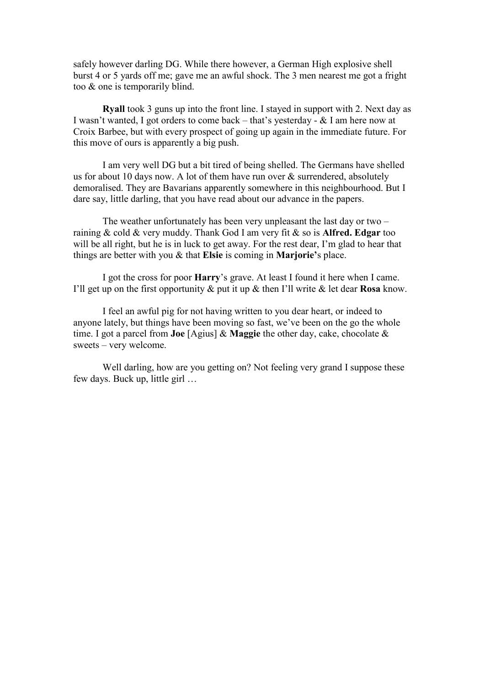safely however darling DG. While there however, a German High explosive shell burst 4 or 5 yards off me; gave me an awful shock. The 3 men nearest me got a fright too & one is temporarily blind.

**Ryall** took 3 guns up into the front line. I stayed in support with 2. Next day as I wasn't wanted, I got orders to come back – that's yesterday - & I am here now at Croix Barbee, but with every prospect of going up again in the immediate future. For this move of ours is apparently a big push.

 I am very well DG but a bit tired of being shelled. The Germans have shelled us for about 10 days now. A lot of them have run over & surrendered, absolutely demoralised. They are Bavarians apparently somewhere in this neighbourhood. But I dare say, little darling, that you have read about our advance in the papers.

 The weather unfortunately has been very unpleasant the last day or two – raining & cold & very muddy. Thank God I am very fit & so is **Alfred. Edgar** too will be all right, but he is in luck to get away. For the rest dear, I'm glad to hear that things are better with you & that **Elsie** is coming in **Marjorie'**s place.

 I got the cross for poor **Harry**'s grave. At least I found it here when I came. I'll get up on the first opportunity & put it up & then I'll write & let dear **Rosa** know.

 I feel an awful pig for not having written to you dear heart, or indeed to anyone lately, but things have been moving so fast, we've been on the go the whole time. I got a parcel from **Joe** [Agius] & **Maggie** the other day, cake, chocolate & sweets – very welcome.

 Well darling, how are you getting on? Not feeling very grand I suppose these few days. Buck up, little girl …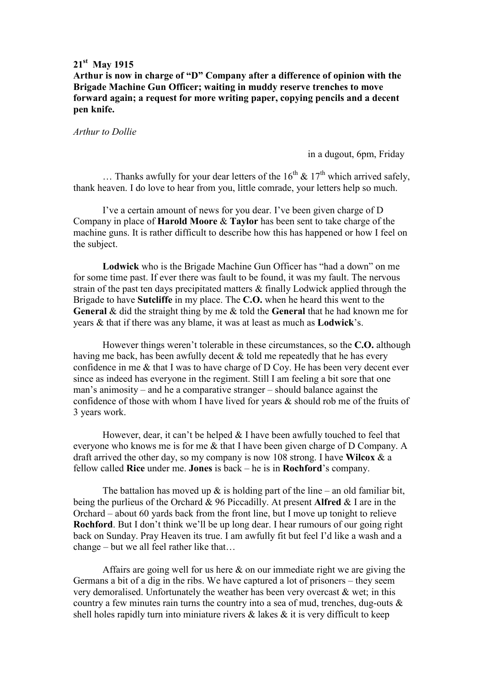## **21st May 1915**

**Arthur is now in charge of "D" Company after a difference of opinion with the Brigade Machine Gun Officer; waiting in muddy reserve trenches to move forward again; a request for more writing paper, copying pencils and a decent pen knife.** 

*Arthur to Dollie* 

in a dugout, 6pm, Friday

... Thanks awfully for your dear letters of the  $16^{th}$  &  $17^{th}$  which arrived safely, thank heaven. I do love to hear from you, little comrade, your letters help so much.

 I've a certain amount of news for you dear. I've been given charge of D Company in place of **Harold Moore** & **Taylor** has been sent to take charge of the machine guns. It is rather difficult to describe how this has happened or how I feel on the subject.

**Lodwick** who is the Brigade Machine Gun Officer has "had a down" on me for some time past. If ever there was fault to be found, it was my fault. The nervous strain of the past ten days precipitated matters & finally Lodwick applied through the Brigade to have **Sutcliffe** in my place. The **C.O.** when he heard this went to the **General** & did the straight thing by me & told the **General** that he had known me for years & that if there was any blame, it was at least as much as **Lodwick**'s.

 However things weren't tolerable in these circumstances, so the **C.O.** although having me back, has been awfully decent & told me repeatedly that he has every confidence in me & that I was to have charge of D Coy. He has been very decent ever since as indeed has everyone in the regiment. Still I am feeling a bit sore that one man's animosity – and he a comparative stranger – should balance against the confidence of those with whom I have lived for years & should rob me of the fruits of 3 years work.

 However, dear, it can't be helped & I have been awfully touched to feel that everyone who knows me is for me & that I have been given charge of D Company. A draft arrived the other day, so my company is now 108 strong. I have **Wilcox** & a fellow called **Rice** under me. **Jones** is back – he is in **Rochford**'s company.

The battalion has moved up  $\&$  is holding part of the line – an old familiar bit, being the purlieus of the Orchard & 96 Piccadilly. At present **Alfred** & I are in the Orchard – about 60 yards back from the front line, but I move up tonight to relieve **Rochford**. But I don't think we'll be up long dear. I hear rumours of our going right back on Sunday. Pray Heaven its true. I am awfully fit but feel I'd like a wash and a change – but we all feel rather like that…

 Affairs are going well for us here & on our immediate right we are giving the Germans a bit of a dig in the ribs. We have captured a lot of prisoners – they seem very demoralised. Unfortunately the weather has been very overcast & wet; in this country a few minutes rain turns the country into a sea of mud, trenches, dug-outs & shell holes rapidly turn into miniature rivers  $\&$  lakes  $\&$  it is very difficult to keep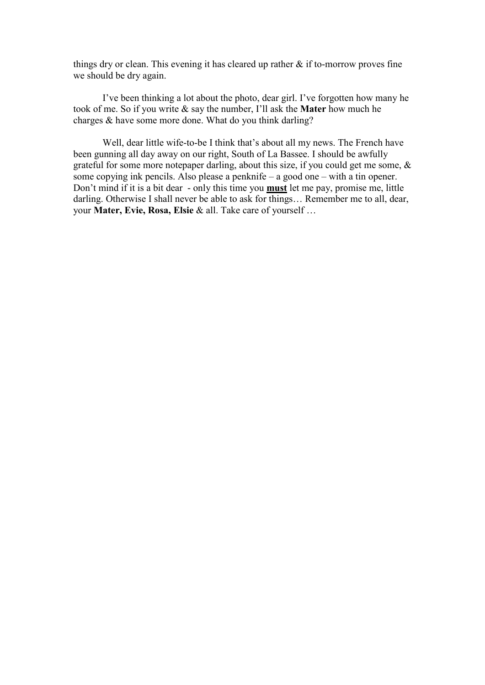things dry or clean. This evening it has cleared up rather  $\&$  if to-morrow proves fine we should be dry again.

 I've been thinking a lot about the photo, dear girl. I've forgotten how many he took of me. So if you write & say the number, I'll ask the **Mater** how much he charges & have some more done. What do you think darling?

 Well, dear little wife-to-be I think that's about all my news. The French have been gunning all day away on our right, South of La Bassee. I should be awfully grateful for some more notepaper darling, about this size, if you could get me some, & some copying ink pencils. Also please a penknife – a good one – with a tin opener. Don't mind if it is a bit dear - only this time you **must** let me pay, promise me, little darling. Otherwise I shall never be able to ask for things… Remember me to all, dear, your **Mater, Evie, Rosa, Elsie** & all. Take care of yourself …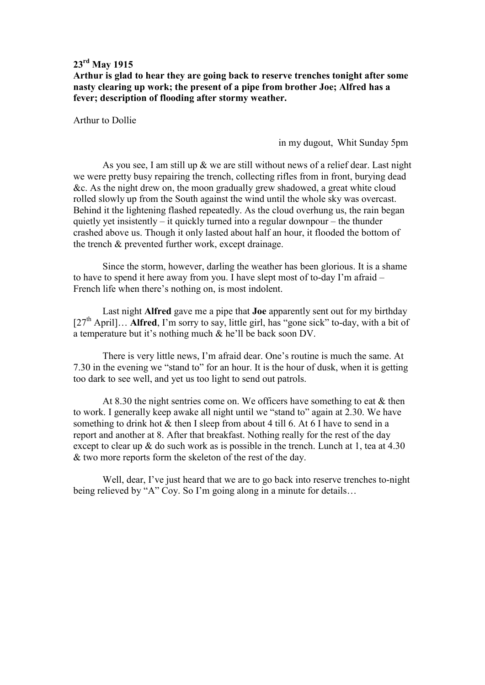# **23rd May 1915**

**Arthur is glad to hear they are going back to reserve trenches tonight after some nasty clearing up work; the present of a pipe from brother Joe; Alfred has a fever; description of flooding after stormy weather.** 

Arthur to Dollie

in my dugout, Whit Sunday 5pm

 As you see, I am still up & we are still without news of a relief dear. Last night we were pretty busy repairing the trench, collecting rifles from in front, burying dead &c. As the night drew on, the moon gradually grew shadowed, a great white cloud rolled slowly up from the South against the wind until the whole sky was overcast. Behind it the lightening flashed repeatedly. As the cloud overhung us, the rain began quietly yet insistently – it quickly turned into a regular downpour – the thunder crashed above us. Though it only lasted about half an hour, it flooded the bottom of the trench & prevented further work, except drainage.

 Since the storm, however, darling the weather has been glorious. It is a shame to have to spend it here away from you. I have slept most of to-day I'm afraid – French life when there's nothing on, is most indolent.

 Last night **Alfred** gave me a pipe that **Joe** apparently sent out for my birthday  $[27<sup>th</sup> April]...$  **Alfred**, I'm sorry to say, little girl, has "gone sick" to-day, with a bit of a temperature but it's nothing much & he'll be back soon DV.

 There is very little news, I'm afraid dear. One's routine is much the same. At 7.30 in the evening we "stand to" for an hour. It is the hour of dusk, when it is getting too dark to see well, and yet us too light to send out patrols.

 At 8.30 the night sentries come on. We officers have something to eat & then to work. I generally keep awake all night until we "stand to" again at 2.30. We have something to drink hot & then I sleep from about 4 till 6. At 6 I have to send in a report and another at 8. After that breakfast. Nothing really for the rest of the day except to clear up & do such work as is possible in the trench. Lunch at 1, tea at 4.30 & two more reports form the skeleton of the rest of the day.

 Well, dear, I've just heard that we are to go back into reserve trenches to-night being relieved by "A" Coy. So I'm going along in a minute for details…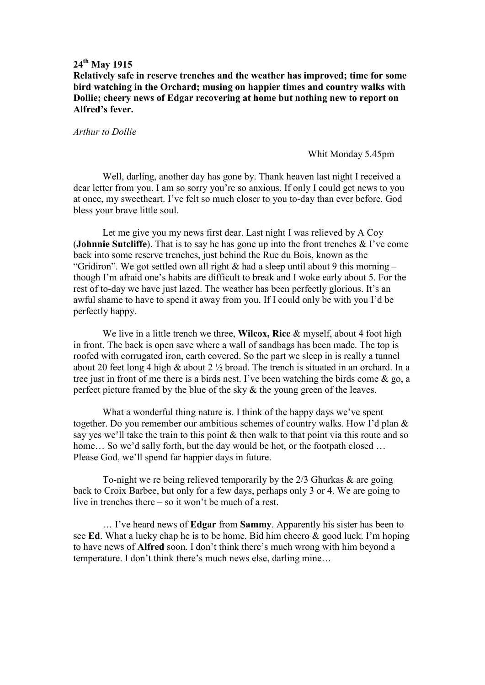**Relatively safe in reserve trenches and the weather has improved; time for some bird watching in the Orchard; musing on happier times and country walks with Dollie; cheery news of Edgar recovering at home but nothing new to report on Alfred's fever.** 

#### *Arthur to Dollie*

Whit Monday 5.45pm

 Well, darling, another day has gone by. Thank heaven last night I received a dear letter from you. I am so sorry you're so anxious. If only I could get news to you at once, my sweetheart. I've felt so much closer to you to-day than ever before. God bless your brave little soul.

 Let me give you my news first dear. Last night I was relieved by A Coy (**Johnnie Sutcliffe**). That is to say he has gone up into the front trenches & I've come back into some reserve trenches, just behind the Rue du Bois, known as the "Gridiron". We got settled own all right  $\&$  had a sleep until about 9 this morning – though I'm afraid one's habits are difficult to break and I woke early about 5. For the rest of to-day we have just lazed. The weather has been perfectly glorious. It's an awful shame to have to spend it away from you. If I could only be with you I'd be perfectly happy.

 We live in a little trench we three, **Wilcox, Rice** & myself, about 4 foot high in front. The back is open save where a wall of sandbags has been made. The top is roofed with corrugated iron, earth covered. So the part we sleep in is really a tunnel about 20 feet long 4 high & about 2 ½ broad. The trench is situated in an orchard. In a tree just in front of me there is a birds nest. I've been watching the birds come & go, a perfect picture framed by the blue of the sky & the young green of the leaves.

 What a wonderful thing nature is. I think of the happy days we've spent together. Do you remember our ambitious schemes of country walks. How I'd plan & say yes we'll take the train to this point & then walk to that point via this route and so home... So we'd sally forth, but the day would be hot, or the footpath closed ... Please God, we'll spend far happier days in future.

 To-night we re being relieved temporarily by the 2/3 Ghurkas & are going back to Croix Barbee, but only for a few days, perhaps only 3 or 4. We are going to live in trenches there – so it won't be much of a rest.

 … I've heard news of **Edgar** from **Sammy**. Apparently his sister has been to see **Ed**. What a lucky chap he is to be home. Bid him cheero & good luck. I'm hoping to have news of **Alfred** soon. I don't think there's much wrong with him beyond a temperature. I don't think there's much news else, darling mine…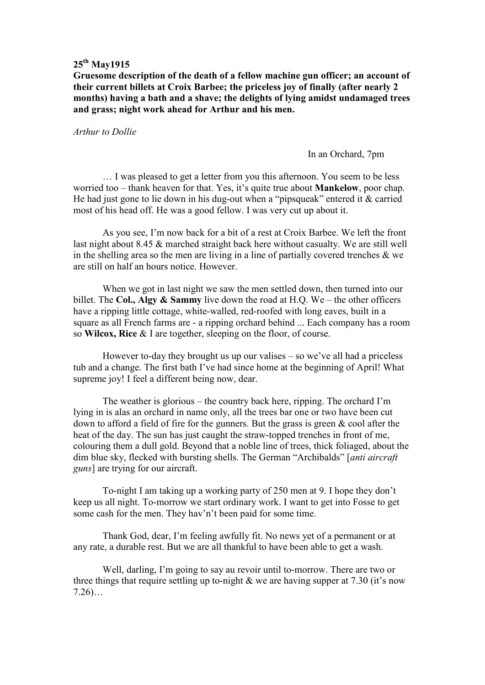**Gruesome description of the death of a fellow machine gun officer; an account of their current billets at Croix Barbee; the priceless joy of finally (after nearly 2 months) having a bath and a shave; the delights of lying amidst undamaged trees and grass; night work ahead for Arthur and his men.**

### *Arthur to Dollie*

In an Orchard, 7pm

 … I was pleased to get a letter from you this afternoon. You seem to be less worried too – thank heaven for that. Yes, it's quite true about **Mankelow**, poor chap. He had just gone to lie down in his dug-out when a "pipsqueak" entered it & carried most of his head off. He was a good fellow. I was very cut up about it.

 As you see, I'm now back for a bit of a rest at Croix Barbee. We left the front last night about 8.45 & marched straight back here without casualty. We are still well in the shelling area so the men are living in a line of partially covered trenches & we are still on half an hours notice. However.

 When we got in last night we saw the men settled down, then turned into our billet. The **Col., Algy & Sammy** live down the road at H.Q. We – the other officers have a ripping little cottage, white-walled, red-roofed with long eaves, built in a square as all French farms are - a ripping orchard behind ... Each company has a room so **Wilcox, Rice** & I are together, sleeping on the floor, of course.

 However to-day they brought us up our valises – so we've all had a priceless tub and a change. The first bath I've had since home at the beginning of April! What supreme joy! I feel a different being now, dear.

 The weather is glorious – the country back here, ripping. The orchard I'm lying in is alas an orchard in name only, all the trees bar one or two have been cut down to afford a field of fire for the gunners. But the grass is green & cool after the heat of the day. The sun has just caught the straw-topped trenches in front of me, colouring them a dull gold. Beyond that a noble line of trees, thick foliaged, about the dim blue sky, flecked with bursting shells. The German "Archibalds" [*anti aircraft guns*] are trying for our aircraft.

 To-night I am taking up a working party of 250 men at 9. I hope they don't keep us all night. To-morrow we start ordinary work. I want to get into Fosse to get some cash for the men. They hav'n't been paid for some time.

 Thank God, dear, I'm feeling awfully fit. No news yet of a permanent or at any rate, a durable rest. But we are all thankful to have been able to get a wash.

 Well, darling, I'm going to say au revoir until to-morrow. There are two or three things that require settling up to-night  $\&$  we are having supper at 7.30 (it's now 7.26)…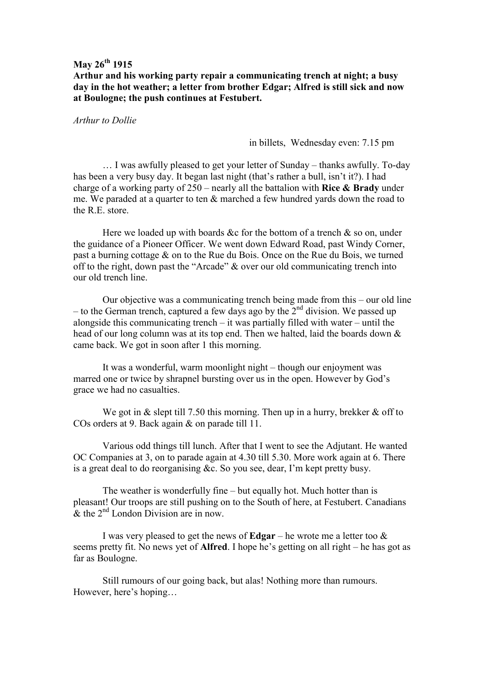## **May 26th 1915**

## **Arthur and his working party repair a communicating trench at night; a busy day in the hot weather; a letter from brother Edgar; Alfred is still sick and now at Boulogne; the push continues at Festubert.**

*Arthur to Dollie* 

in billets, Wednesday even: 7.15 pm

 … I was awfully pleased to get your letter of Sunday – thanks awfully. To-day has been a very busy day. It began last night (that's rather a bull, isn't it?). I had charge of a working party of 250 – nearly all the battalion with **Rice & Brady** under me. We paraded at a quarter to ten & marched a few hundred yards down the road to the R.E. store.

Here we loaded up with boards &c for the bottom of a trench  $\&$  so on, under the guidance of a Pioneer Officer. We went down Edward Road, past Windy Corner, past a burning cottage & on to the Rue du Bois. Once on the Rue du Bois, we turned off to the right, down past the "Arcade" & over our old communicating trench into our old trench line.

 Our objective was a communicating trench being made from this – our old line – to the German trench, captured a few days ago by the  $2<sup>nd</sup>$  division. We passed up alongside this communicating trench – it was partially filled with water – until the head of our long column was at its top end. Then we halted, laid the boards down & came back. We got in soon after 1 this morning.

 It was a wonderful, warm moonlight night – though our enjoyment was marred one or twice by shrapnel bursting over us in the open. However by God's grace we had no casualties.

We got in & slept till 7.50 this morning. Then up in a hurry, brekker & off to COs orders at 9. Back again & on parade till 11.

 Various odd things till lunch. After that I went to see the Adjutant. He wanted OC Companies at 3, on to parade again at 4.30 till 5.30. More work again at 6. There is a great deal to do reorganising &c. So you see, dear, I'm kept pretty busy.

 The weather is wonderfully fine – but equally hot. Much hotter than is pleasant! Our troops are still pushing on to the South of here, at Festubert. Canadians  $\&$  the 2<sup>nd</sup> London Division are in now.

 I was very pleased to get the news of **Edgar** – he wrote me a letter too & seems pretty fit. No news yet of **Alfred**. I hope he's getting on all right – he has got as far as Boulogne.

 Still rumours of our going back, but alas! Nothing more than rumours. However, here's hoping…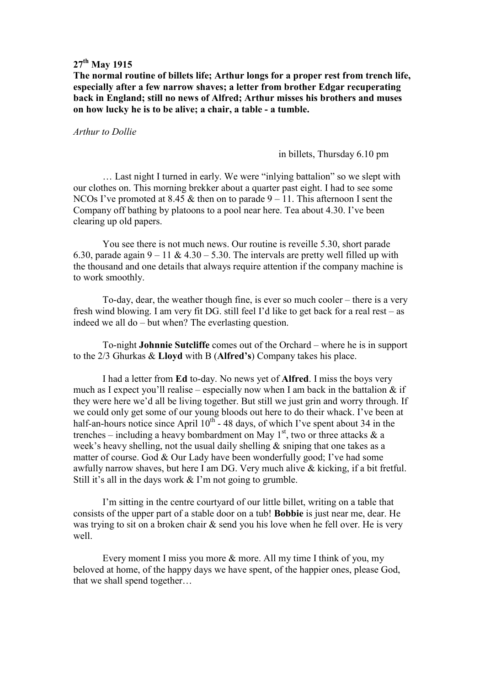**The normal routine of billets life; Arthur longs for a proper rest from trench life, especially after a few narrow shaves; a letter from brother Edgar recuperating back in England; still no news of Alfred; Arthur misses his brothers and muses on how lucky he is to be alive; a chair, a table - a tumble.** 

*Arthur to Dollie* 

in billets, Thursday 6.10 pm

 … Last night I turned in early. We were "inlying battalion" so we slept with our clothes on. This morning brekker about a quarter past eight. I had to see some NCOs I've promoted at 8.45  $\&$  then on to parade 9 – 11. This afternoon I sent the Company off bathing by platoons to a pool near here. Tea about 4.30. I've been clearing up old papers.

 You see there is not much news. Our routine is reveille 5.30, short parade 6.30, parade again  $9 - 11 \& 4.30 - 5.30$ . The intervals are pretty well filled up with the thousand and one details that always require attention if the company machine is to work smoothly.

 To-day, dear, the weather though fine, is ever so much cooler – there is a very fresh wind blowing. I am very fit DG. still feel I'd like to get back for a real rest – as indeed we all do – but when? The everlasting question.

 To-night **Johnnie Sutcliffe** comes out of the Orchard – where he is in support to the 2/3 Ghurkas & **Lloyd** with B (**Alfred's**) Company takes his place.

 I had a letter from **Ed** to-day. No news yet of **Alfred**. I miss the boys very much as I expect you'll realise – especially now when I am back in the battalion  $\&$  if they were here we'd all be living together. But still we just grin and worry through. If we could only get some of our young bloods out here to do their whack. I've been at half-an-hours notice since April  $10^{th}$  - 48 days, of which I've spent about 34 in the trenches – including a heavy bombardment on May  $1<sup>st</sup>$ , two or three attacks & a week's heavy shelling, not the usual daily shelling & sniping that one takes as a matter of course. God & Our Lady have been wonderfully good; I've had some awfully narrow shaves, but here I am DG. Very much alive & kicking, if a bit fretful. Still it's all in the days work & I'm not going to grumble.

 I'm sitting in the centre courtyard of our little billet, writing on a table that consists of the upper part of a stable door on a tub! **Bobbie** is just near me, dear. He was trying to sit on a broken chair & send you his love when he fell over. He is very well.

 Every moment I miss you more & more. All my time I think of you, my beloved at home, of the happy days we have spent, of the happier ones, please God, that we shall spend together…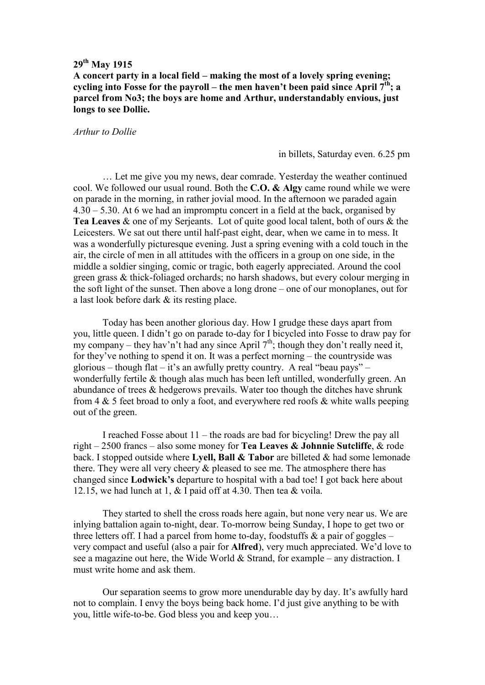**A concert party in a local field – making the most of a lovely spring evening; cycling into Fosse for the payroll – the men haven't been paid since April**  $7^{\text{th}}$ **; a parcel from No3; the boys are home and Arthur, understandably envious, just longs to see Dollie.** 

*Arthur to Dollie* 

in billets, Saturday even. 6.25 pm

 … Let me give you my news, dear comrade. Yesterday the weather continued cool. We followed our usual round. Both the **C.O. & Algy** came round while we were on parade in the morning, in rather jovial mood. In the afternoon we paraded again 4.30 – 5.30. At 6 we had an impromptu concert in a field at the back, organised by **Tea Leaves** & one of my Serjeants. Lot of quite good local talent, both of ours & the Leicesters. We sat out there until half-past eight, dear, when we came in to mess. It was a wonderfully picturesque evening. Just a spring evening with a cold touch in the air, the circle of men in all attitudes with the officers in a group on one side, in the middle a soldier singing, comic or tragic, both eagerly appreciated. Around the cool green grass & thick-foliaged orchards; no harsh shadows, but every colour merging in the soft light of the sunset. Then above a long drone – one of our monoplanes, out for a last look before dark & its resting place.

 Today has been another glorious day. How I grudge these days apart from you, little queen. I didn't go on parade to-day for I bicycled into Fosse to draw pay for my company – they hav'n't had any since April  $7<sup>th</sup>$ ; though they don't really need it, for they've nothing to spend it on. It was a perfect morning – the countryside was glorious – though flat – it's an awfully pretty country. A real "beau pays" – wonderfully fertile & though alas much has been left untilled, wonderfully green. An abundance of trees & hedgerows prevails. Water too though the ditches have shrunk from 4 & 5 feet broad to only a foot, and everywhere red roofs & white walls peeping out of the green.

 I reached Fosse about 11 – the roads are bad for bicycling! Drew the pay all right – 2500 francs – also some money for **Tea Leaves & Johnnie Sutcliffe**, & rode back. I stopped outside where **Lyell, Ball & Tabor** are billeted & had some lemonade there. They were all very cheery & pleased to see me. The atmosphere there has changed since **Lodwick's** departure to hospital with a bad toe! I got back here about 12.15, we had lunch at 1, & I paid off at 4.30. Then tea & voila.

 They started to shell the cross roads here again, but none very near us. We are inlying battalion again to-night, dear. To-morrow being Sunday, I hope to get two or three letters off. I had a parcel from home to-day, foodstuffs  $\&$  a pair of goggles – very compact and useful (also a pair for **Alfred**), very much appreciated. We'd love to see a magazine out here, the Wide World  $&$  Strand, for example – any distraction. I must write home and ask them.

 Our separation seems to grow more unendurable day by day. It's awfully hard not to complain. I envy the boys being back home. I'd just give anything to be with you, little wife-to-be. God bless you and keep you…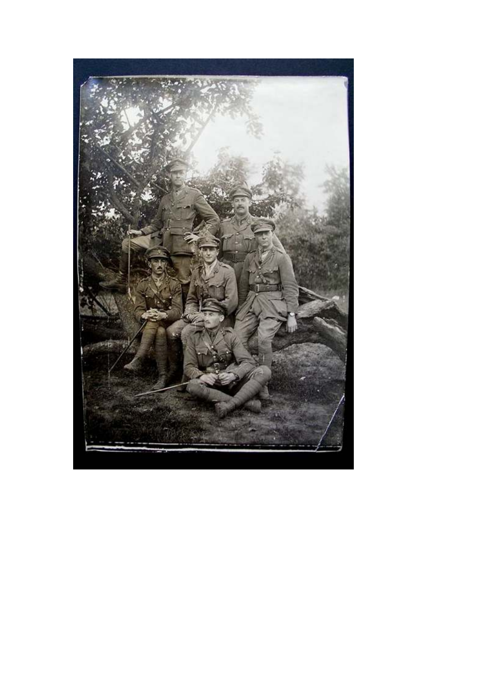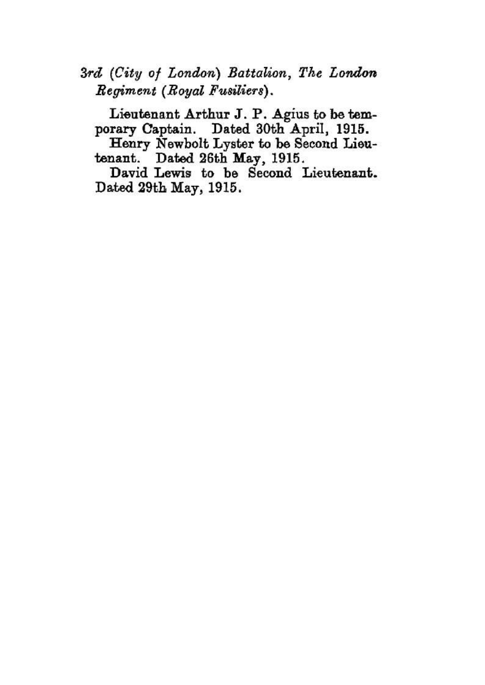3rd (City of London) Battalion, The London Regiment (Royal Fusiliers).

Lieutenant Arthur J. P. Agius to be temporary Captain. Dated 30th April, 1915. Henry Newbolt Lyster to be Second Lieu-

tenant. Dated 26th May, 1915.

David Lewis to be Second Lieutenant. Dated 29th May, 1915.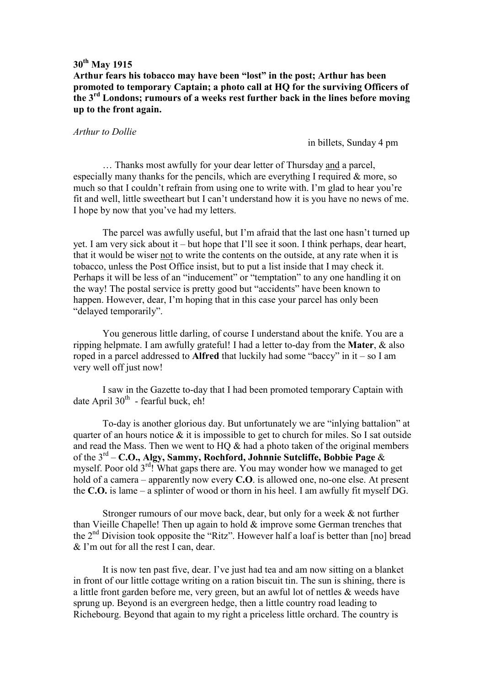**Arthur fears his tobacco may have been "lost" in the post; Arthur has been promoted to temporary Captain; a photo call at HQ for the surviving Officers of the 3rd Londons; rumours of a weeks rest further back in the lines before moving up to the front again.** 

### *Arthur to Dollie*

in billets, Sunday 4 pm

 … Thanks most awfully for your dear letter of Thursday and a parcel, especially many thanks for the pencils, which are everything I required & more, so much so that I couldn't refrain from using one to write with. I'm glad to hear you're fit and well, little sweetheart but I can't understand how it is you have no news of me. I hope by now that you've had my letters.

 The parcel was awfully useful, but I'm afraid that the last one hasn't turned up yet. I am very sick about it – but hope that I'll see it soon. I think perhaps, dear heart, that it would be wiser not to write the contents on the outside, at any rate when it is tobacco, unless the Post Office insist, but to put a list inside that I may check it. Perhaps it will be less of an "inducement" or "temptation" to any one handling it on the way! The postal service is pretty good but "accidents" have been known to happen. However, dear, I'm hoping that in this case your parcel has only been "delayed temporarily".

 You generous little darling, of course I understand about the knife. You are a ripping helpmate. I am awfully grateful! I had a letter to-day from the **Mater**, & also roped in a parcel addressed to **Alfred** that luckily had some "baccy" in it – so I am very well off just now!

 I saw in the Gazette to-day that I had been promoted temporary Captain with date April  $30<sup>th</sup>$  - fearful buck, eh!

 To-day is another glorious day. But unfortunately we are "inlying battalion" at quarter of an hours notice & it is impossible to get to church for miles. So I sat outside and read the Mass. Then we went to  $HQ & had a photo taken of the original members$ of the 3rd – **C.O., Algy, Sammy, Rochford, Johnnie Sutcliffe, Bobbie Page** & myself. Poor old  $3<sup>rd</sup>$ ! What gaps there are. You may wonder how we managed to get hold of a camera – apparently now every **C.O**. is allowed one, no-one else. At present the **C.O.** is lame – a splinter of wood or thorn in his heel. I am awfully fit myself DG.

 Stronger rumours of our move back, dear, but only for a week & not further than Vieille Chapelle! Then up again to hold & improve some German trenches that the  $2<sup>nd</sup>$  Division took opposite the "Ritz". However half a loaf is better than [no] bread & I'm out for all the rest I can, dear.

 It is now ten past five, dear. I've just had tea and am now sitting on a blanket in front of our little cottage writing on a ration biscuit tin. The sun is shining, there is a little front garden before me, very green, but an awful lot of nettles & weeds have sprung up. Beyond is an evergreen hedge, then a little country road leading to Richebourg. Beyond that again to my right a priceless little orchard. The country is